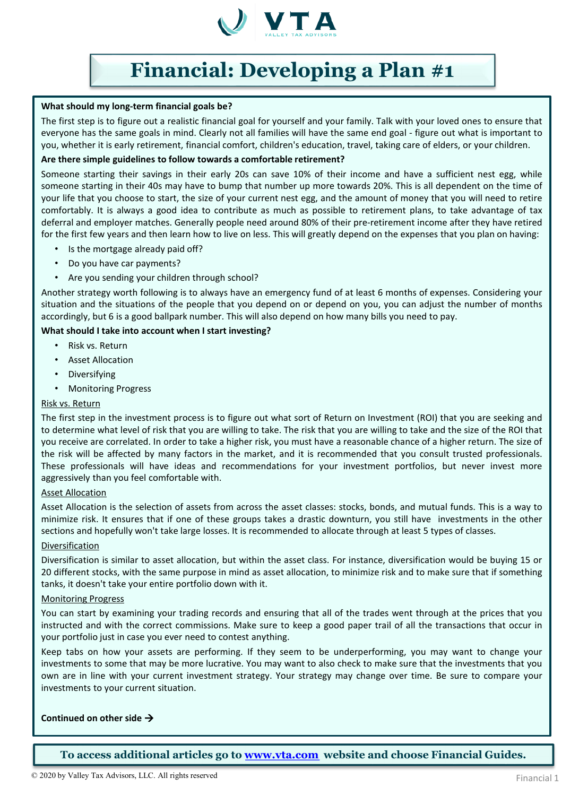

#### **What should my long-term financial goals be?**

The first step is to figure out a realistic financial goal for yourself and your family. Talk with your loved ones to ensure that everyone has the same goals in mind. Clearly not all families will have the same end goal - figure out what is important to you, whether it is early retirement, financial comfort, children's education, travel, taking care of elders, or your children.

## **Are there simple guidelines to follow towards a comfortable retirement?**

Someone starting their savings in their early 20s can save 10% of their income and have a sufficient nest egg, while someone starting in their 40s may have to bump that number up more towards 20%. This is all dependent on the time of your life that you choose to start, the size of your current nest egg, and the amount of money that you will need to retire comfortably. It is always a good idea to contribute as much as possible to retirement plans, to take advantage of tax deferral and employer matches. Generally people need around 80% of their pre-retirement income after they have retired for the first few years and then learn how to live on less. This will greatly depend on the expenses that you plan on having:

- Is the mortgage already paid off?
- Do you have car payments?
- Are you sending your children through school?

Another strategy worth following is to always have an emergency fund of at least 6 months of expenses. Considering your situation and the situations of the people that you depend on or depend on you, you can adjust the number of months accordingly, but 6 is a good ballpark number. This will also depend on how many bills you need to pay.

## **What should I take into account when I start investing?**

- Risk vs. Return
- Asset Allocation
- **Diversifying**
- Monitoring Progress

## Risk vs. Return

The first step in the investment process is to figure out what sort of Return on Investment (ROI) that you are seeking and to determine what level of risk that you are willing to take. The risk that you are willing to take and the size of the ROI that you receive are correlated. In order to take a higher risk, you must have a reasonable chance of a higher return. The size of the risk will be affected by many factors in the market, and it is recommended that you consult trusted professionals. These professionals will have ideas and recommendations for your investment portfolios, but never invest more aggressively than you feel comfortable with.

## Asset Allocation

Asset Allocation is the selection of assets from across the asset classes: stocks, bonds, and mutual funds. This is a way to minimize risk. It ensures that if one of these groups takes a drastic downturn, you still have investments in the other sections and hopefully won't take large losses. It is recommended to allocate through at least 5 types of classes.

## Diversification

Diversification is similar to asset allocation, but within the asset class. For instance, diversification would be buying 15 or 20 different stocks, with the same purpose in mind as asset allocation, to minimize risk and to make sure that if something tanks, it doesn't take your entire portfolio down with it.

#### Monitoring Progress

You can start by examining your trading records and ensuring that all of the trades went through at the prices that you instructed and with the correct commissions. Make sure to keep a good paper trail of all the transactions that occur in your portfolio just in case you ever need to contest anything.

Keep tabs on how your assets are performing. If they seem to be underperforming, you may want to change your investments to some that may be more lucrative. You may want to also check to make sure that the investments that you own are in line with your current investment strategy. Your strategy may change over time. Be sure to compare your investments to your current situation.

## **Continued on other side**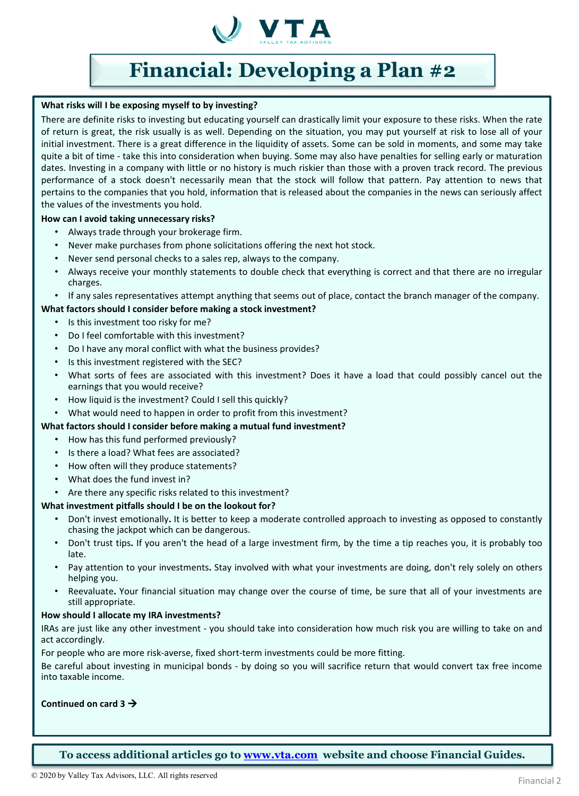

## **What risks will I be exposing myself to by investing?**

There are definite risks to investing but educating yourself can drastically limit your exposure to these risks. When the rate of return is great, the risk usually is as well. Depending on the situation, you may put yourself at risk to lose all of your initial investment. There is a great difference in the liquidity of assets. Some can be sold in moments, and some may take quite a bit of time - take this into consideration when buying. Some may also have penalties for selling early or maturation dates. Investing in a company with little or no history is much riskier than those with a proven track record. The previous performance of a stock doesn't necessarily mean that the stock will follow that pattern. Pay attention to news that pertains to the companies that you hold, information that is released about the companies in the news can seriously affect the values of the investments you hold.

## **How can I avoid taking unnecessary risks?**

- Always trade through your brokerage firm.
- Never make purchases from phone solicitations offering the next hot stock.
- Never send personal checks to a sales rep, always to the company.
- Always receive your monthly statements to double check that everything is correct and that there are no irregular charges.
- If any sales representatives attempt anything that seems out of place, contact the branch manager of the company.

## **What factors should I consider before making a stock investment?**

- Is this investment too risky for me?
- Do I feel comfortable with this investment?
- Do I have any moral conflict with what the business provides?
- Is this investment registered with the SEC?
- What sorts of fees are associated with this investment? Does it have a load that could possibly cancel out the earnings that you would receive?
- How liquid is the investment? Could I sell this quickly?
- What would need to happen in order to profit from this investment?

## **What factors should I consider before making a mutual fund investment?**

- How has this fund performed previously?
- Is there a load? What fees are associated?
- How often will they produce statements?
- What does the fund invest in?
- Are there any specific risks related to this investment?

#### **What investment pitfalls should I be on the lookout for?**

- Don't invest emotionally**.** It is better to keep a moderate controlled approach to investing as opposed to constantly chasing the jackpot which can be dangerous.
- Don't trust tips**.** If you aren't the head of a large investment firm, by the time a tip reaches you, it is probably too late.
- Pay attention to your investments**.** Stay involved with what your investments are doing, don't rely solely on others helping you.
- Reevaluate**.** Your financial situation may change over the course of time, be sure that all of your investments are still appropriate.

#### **How should I allocate my IRA investments?**

IRAs are just like any other investment - you should take into consideration how much risk you are willing to take on and act accordingly.

For people who are more risk-averse, fixed short-term investments could be more fitting.

Be careful about investing in municipal bonds - by doing so you will sacrifice return that would convert tax free income into taxable income.

## **Continued on card 3**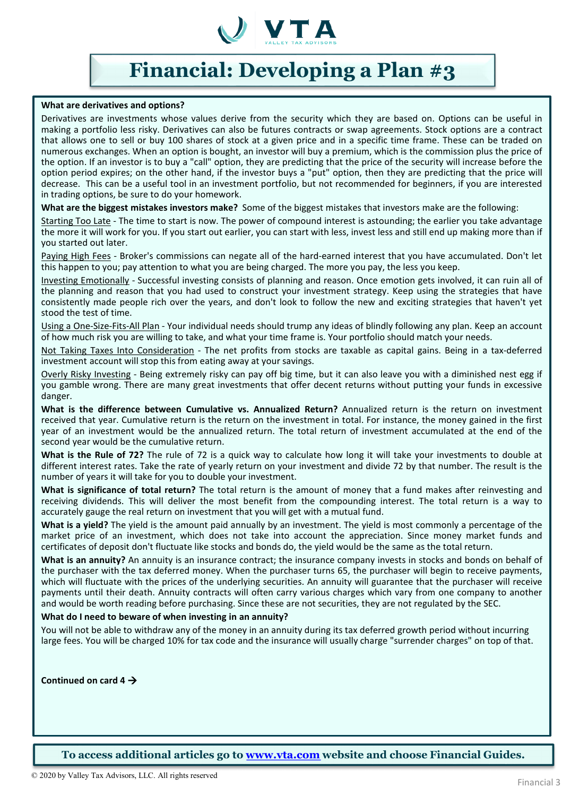

#### **What are derivatives and options?**

Derivatives are investments whose values derive from the security which they are based on. Options can be useful in making a portfolio less risky. Derivatives can also be futures contracts or swap agreements. Stock options are a contract that allows one to sell or buy 100 shares of stock at a given price and in a specific time frame. These can be traded on numerous exchanges. When an option is bought, an investor will buy a premium, which is the commission plus the price of the option. If an investor is to buy a "call" option, they are predicting that the price of the security will increase before the option period expires; on the other hand, if the investor buys a "put" option, then they are predicting that the price will decrease. This can be a useful tool in an investment portfolio, but not recommended for beginners, if you are interested in trading options, be sure to do your homework.

**What are the biggest mistakes investors make?** Some of the biggest mistakes that investors make are the following:

Starting Too Late - The time to start is now. The power of compound interest is astounding; the earlier you take advantage the more it will work for you. If you start out earlier, you can start with less, invest less and still end up making more than if you started out later.

Paying High Fees - Broker's commissions can negate all of the hard-earned interest that you have accumulated. Don't let this happen to you; pay attention to what you are being charged. The more you pay, the less you keep.

Investing Emotionally - Successful investing consists of planning and reason. Once emotion gets involved, it can ruin all of the planning and reason that you had used to construct your investment strategy. Keep using the strategies that have consistently made people rich over the years, and don't look to follow the new and exciting strategies that haven't yet stood the test of time.

Using a One-Size-Fits-All Plan - Your individual needs should trump any ideas of blindly following any plan. Keep an account of how much risk you are willing to take, and what your time frame is. Your portfolio should match your needs.

Not Taking Taxes Into Consideration - The net profits from stocks are taxable as capital gains. Being in a tax-deferred investment account will stop this from eating away at your savings.

Overly Risky Investing - Being extremely risky can pay off big time, but it can also leave you with a diminished nest egg if you gamble wrong. There are many great investments that offer decent returns without putting your funds in excessive danger.

**What is the difference between Cumulative vs. Annualized Return?** Annualized return is the return on investment received that year. Cumulative return is the return on the investment in total. For instance, the money gained in the first year of an investment would be the annualized return. The total return of investment accumulated at the end of the second year would be the cumulative return.

**What is the Rule of 72?** The rule of 72 is a quick way to calculate how long it will take your investments to double at different interest rates. Take the rate of yearly return on your investment and divide 72 by that number. The result is the number of years it will take for you to double your investment.

**What is significance of total return?** The total return is the amount of money that a fund makes after reinvesting and receiving dividends. This will deliver the most benefit from the compounding interest. The total return is a way to accurately gauge the real return on investment that you will get with a mutual fund.

**What is a yield?** The yield is the amount paid annually by an investment. The yield is most commonly a percentage of the market price of an investment, which does not take into account the appreciation. Since money market funds and certificates of deposit don't fluctuate like stocks and bonds do, the yield would be the same as the total return.

**What is an annuity?** An annuity is an insurance contract; the insurance company invests in stocks and bonds on behalf of the purchaser with the tax deferred money. When the purchaser turns 65, the purchaser will begin to receive payments, which will fluctuate with the prices of the underlying securities. An annuity will guarantee that the purchaser will receive payments until their death. Annuity contracts will often carry various charges which vary from one company to another and would be worth reading before purchasing. Since these are not securities, they are not regulated by the SEC.

## **What do I need to beware of when investing in an annuity?**

You will not be able to withdraw any of the money in an annuity during its tax deferred growth period without incurring large fees. You will be charged 10% for tax code and the insurance will usually charge "surrender charges" on top of that.

**Continued on card 4**